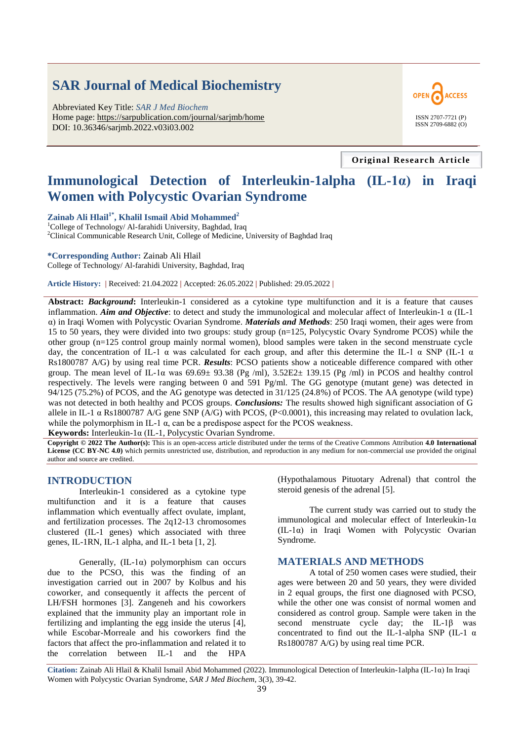# **SAR Journal of Medical Biochemistry**

Abbreviated Key Title: *SAR J Med Biochem* Home page: https://sarpublication.com/journal/sarjmb/home DOI: 10.36346/sarjmb.2022.v03i03.002



**Original Research Article**

# **Immunological Detection of Interleukin-1alpha (IL-1α) in Iraqi Women with Polycystic Ovarian Syndrome**

# **Zainab Ali Hlail1\*, Khalil Ismail Abid Mohammed<sup>2</sup>**

 $1$ College of Technology/ Al-farahidi University, Baghdad, Iraq <sup>2</sup>Clinical Communicable Research Unit, College of Medicine, University of Baghdad Iraq

#### **\*Corresponding Author:** Zainab Ali Hlail

College of Technology/ Al-farahidi University, Baghdad, Iraq

**Article History: |** Received: 21.04.2022 **|** Accepted: 26.05.2022 **|** Published: 29.05.2022 **|**

**Abstract:** *Background***:** Interleukin-1 considered as a cytokine type multifunction and it is a feature that causes inflammation. *Aim and Objective*: to detect and study the immunological and molecular affect of Interleukin-1 α (IL-1 α) in Iraqi Women with Polycystic Ovarian Syndrome. *Materials and Methods*: 250 Iraqi women, their ages were from 15 to 50 years, they were divided into two groups: study group (n=125, Polycystic Ovary Syndrome PCOS) while the other group (n=125 control group mainly normal women), blood samples were taken in the second menstruate cycle day, the concentration of IL-1  $\alpha$  was calculated for each group, and after this determine the IL-1  $\alpha$  SNP (IL-1  $\alpha$ ) [Rs1800787](https://www.snpedia.com/index.php/Rs1800787) A/G) by using real time PCR. *Results*: PCSO patients show a noticeable difference compared with other group. The mean level of IL-1 $\alpha$  was 69.69 $\pm$  93.38 (Pg /ml), 3.52E2 $\pm$  139.15 (Pg /ml) in PCOS and healthy control respectively. The levels were ranging between 0 and 591 Pg/ml. The GG genotype (mutant gene) was detected in 94/125 (75.2%) of PCOS, and the AG genotype was detected in 31/125 (24.8%) of PCOS. The AA genotype (wild type) was not detected in both healthy and PCOS groups. *Conclusions:* The results showed high significant association of G allele in IL-1  $\alpha$  [Rs1800787](https://www.snpedia.com/index.php/Rs1800787) A/G gene SNP (A/G) with PCOS, (P<0.0001), this increasing may related to ovulation lack, while the polymorphism in IL-1  $\alpha$ , can be a predispose aspect for the PCOS weakness.

**Keywords:** Interleukin-1α (IL-1, Polycystic Ovarian Syndrome.

**Copyright © 2022 The Author(s):** This is an open-access article distributed under the terms of the Creative Commons Attribution **4.0 International License (CC BY-NC 4.0)** which permits unrestricted use, distribution, and reproduction in any medium for non-commercial use provided the original author and source are credited.

# **INTRODUCTION**

Interleukin-1 considered as a cytokine type multifunction and it is a feature that causes inflammation which eventually affect ovulate, implant, and fertilization processes. The 2q12-13 chromosomes clustered (IL-1 genes) which associated with three genes, IL-1RN, IL-1 alpha, and IL-1 beta [1, 2].

Generally,  $(IL-l\alpha)$  polymorphism can occurs due to the PCSO, this was the finding of an investigation carried out in 2007 by Kolbus and his coworker, and consequently it affects the percent of LH/FSH hormones [3]. Zangeneh and his coworkers explained that the immunity play an important role in fertilizing and implanting the egg inside the uterus [4], while Escobar-Morreale and his coworkers find the factors that affect the pro-inflammation and related it to the correlation between IL-1 and the HPA

(Hypothalamous Pituotary Adrenal) that control the steroid genesis of the adrenal [5].

The current study was carried out to study the immunological and molecular effect of Interleukin-1α (IL-1α) in Iraqi Women with Polycystic Ovarian Syndrome.

#### **MATERIALS AND METHODS**

A total of 250 women cases were studied, their ages were between 20 and 50 years, they were divided in 2 equal groups, the first one diagnosed with PCSO, while the other one was consist of normal women and considered as control group. Sample were taken in the second menstruate cycle day; the IL-1β was concentrated to find out the IL-1-alpha SNP (IL-1  $\alpha$ ) [Rs1800787](https://www.snpedia.com/index.php/Rs1800787) A/G) by using real time PCR.

**Citation:** Zainab Ali Hlail & Khalil Ismail Abid Mohammed (2022). Immunological Detection of Interleukin-1alpha (IL-1α) In Iraqi Women with Polycystic Ovarian Syndrome, *SAR J Med Biochem*, 3(3), 39-42.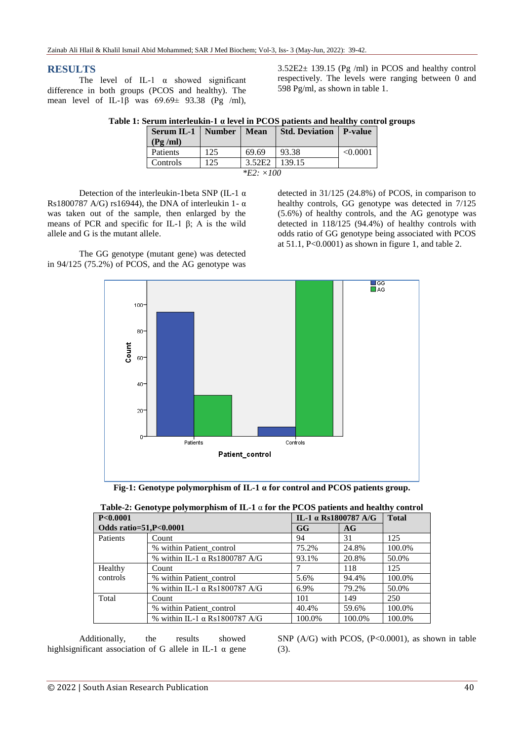# **RESULTS**

The level of IL-1  $\alpha$  showed significant difference in both groups (PCOS and healthy). The mean level of IL-1 $\beta$  was 69.69± 93.38 (Pg /ml), 3.52E2± 139.15 (Pg /ml) in PCOS and healthy control respectively. The levels were ranging between 0 and 598 Pg/ml, as shown in table 1.

| <b>Number</b> | Mean   | <b>Std. Deviation   P-value</b> |         |
|---------------|--------|---------------------------------|---------|
|               |        |                                 |         |
| 125           | 69.69  | 93.38                           | <0.0001 |
| 25            | 3.52E2 | 139.15                          |         |
|               |        |                                 |         |

**Table 1: Serum interleukin-1 α level in PCOS patients and healthy control groups**

| 1 |
|---|

Detection of the interleukin-1beta SNP (IL-1  $\alpha$ ) [Rs1800787](https://www.snpedia.com/index.php/Rs1800787) A/G) rs16944), the DNA of interleukin 1- $\alpha$ was taken out of the sample, then enlarged by the means of PCR and specific for IL-1  $\beta$ ; A is the wild allele and G is the mutant allele.

The GG genotype (mutant gene) was detected in 94/125 (75.2%) of PCOS, and the AG genotype was detected in 31/125 (24.8%) of PCOS, in comparison to healthy controls, GG genotype was detected in 7/125 (5.6%) of healthy controls, and the AG genotype was detected in 118/125 (94.4%) of healthy controls with odds ratio of GG genotype being associated with PCOS at  $51.1$ ,  $P<0.0001$ ) as shown in figure 1, and table 2.



| .<br>P<0.0001          |                                      | IL-1 $\alpha$ Rs1800787 A/G |        | <b>Total</b> |
|------------------------|--------------------------------------|-----------------------------|--------|--------------|
| Odds ratio=51,P<0.0001 |                                      | GG                          | AG     |              |
| Patients               | Count                                | 94                          | 31     | 125          |
|                        | % within Patient control             | 75.2%                       | 24.8%  | 100.0%       |
|                        | % within IL-1 $\alpha$ Rs1800787 A/G | 93.1%                       | 20.8%  | 50.0%        |
| Healthy                | Count                                |                             | 118    | 125          |
| controls               | % within Patient control             | 5.6%                        | 94.4%  | 100.0%       |
|                        | % within IL-1 $\alpha$ Rs1800787 A/G | 6.9%                        | 79.2%  | 50.0%        |
| Total                  | Count                                | 101                         | 149    | 250          |
|                        | % within Patient control             | 40.4%                       | 59.6%  | 100.0%       |
|                        | % within IL-1 $\alpha$ Rs1800787 A/G | 100.0%                      | 100.0% | 100.0%       |

| Table-2: Genotype polymorphism of IL-1 $\alpha$ for the PCOS patients and healthy control |
|-------------------------------------------------------------------------------------------|
|-------------------------------------------------------------------------------------------|

Additionally, the results showed highlsignificant association of G allele in IL-1  $\alpha$  gene SNP  $(A/G)$  with PCOS,  $(P<0.0001)$ , as shown in table (3).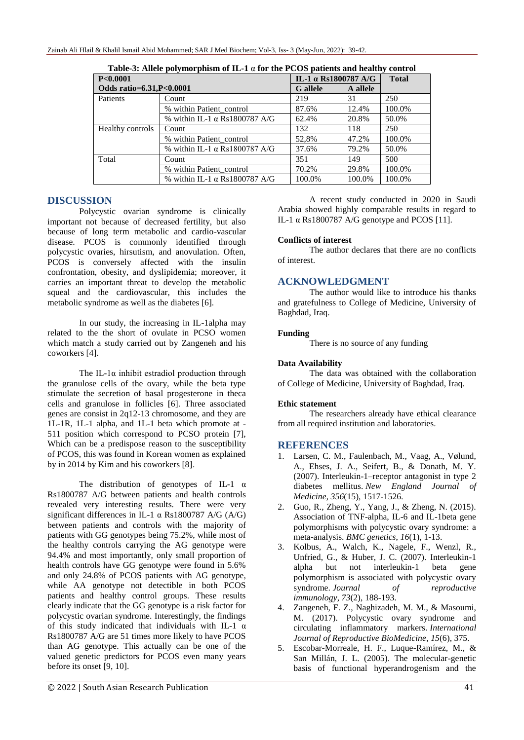| P<0.0001                 |                                      | IL-1 α Rs1800787 A/G |          | <b>Total</b> |  |
|--------------------------|--------------------------------------|----------------------|----------|--------------|--|
| Odds ratio=6.31,P<0.0001 |                                      | <b>G</b> allele      | A allele |              |  |
| Patients                 | Count                                | 219                  | 31       | 250          |  |
|                          | % within Patient_control             | 87.6%                | 12.4%    | 100.0%       |  |
|                          | % within IL-1 $\alpha$ Rs1800787 A/G | 62.4%                | 20.8%    | 50.0%        |  |
| Healthy controls         | Count                                | 132                  | 118      | 250          |  |
|                          | % within Patient_control             | 52,8%                | 47.2%    | 100.0%       |  |
|                          | % within IL-1 $\alpha$ Rs1800787 A/G | 37.6%                | 79.2%    | 50.0%        |  |
| Total                    | Count                                | 351                  | 149      | 500          |  |
|                          | % within Patient_control             | 70.2%                | 29.8%    | 100.0%       |  |
|                          | % within IL-1 $\alpha$ Rs1800787 A/G | 100.0%               | 100.0%   | 100.0%       |  |

**Table-3: Allele polymorphism of IL-1** α **for the PCOS patients and healthy control**

# **DISCUSSION**

Polycystic ovarian syndrome is clinically important not because of decreased fertility, but also because of long term metabolic and cardio-vascular disease. PCOS is commonly identified through polycystic ovaries, hirsutism, and anovulation. Often, PCOS is conversely affected with the insulin confrontation, obesity, and dyslipidemia; moreover, it carries an important threat to develop the metabolic squeal and the cardiovascular, this includes the metabolic syndrome as well as the diabetes [6].

In our study, the increasing in IL-1alpha may related to the the short of ovulate in PCSO women which match a study carried out by Zangeneh and his coworkers [4].

The IL-1 $\alpha$  inhibit estradiol production through the granulose cells of the ovary, while the beta type stimulate the secretion of basal progesterone in theca cells and granulose in follicles [6]. Three associated genes are consist in 2q12-13 chromosome, and they are 1L-1R, 1L-1 alpha, and 1L-1 beta which promote at - 511 position which correspond to PCSO protein [7], Which can be a predispose reason to the susceptibility of PCOS, this was found in Korean women as explained by in 2014 by Kim and his coworkers [8].

The distribution of genotypes of IL-1 α [Rs1800787](https://www.snpedia.com/index.php/Rs1800787) A/G between patients and health controls revealed very interesting results. There were very significant differences in IL-1  $\alpha$  [Rs1800787](https://www.snpedia.com/index.php/Rs1800787) A/G (A/G) between patients and controls with the majority of patients with GG genotypes being 75.2%, while most of the healthy controls carrying the AG genotype were 94.4% and most importantly, only small proportion of health controls have GG genotype were found in 5.6% and only 24.8% of PCOS patients with AG genotype, while AA genotype not detectible in both PCOS patients and healthy control groups. These results clearly indicate that the GG genotype is a risk factor for polycystic ovarian syndrome. Interestingly, the findings of this study indicated that individuals with IL-1  $\alpha$ [Rs1800787](https://www.snpedia.com/index.php/Rs1800787) A/G are 51 times more likely to have PCOS than AG genotype. This actually can be one of the valued genetic predictors for PCOS even many years before its onset [9, 10].

A recent study conducted in 2020 in Saudi Arabia showed highly comparable results in regard to IL-1  $\alpha$  Rs1800787 A/G genotype and PCOS [11].

# **Conflicts of interest**

The author declares that there are no conflicts of interest.

# **ACKNOWLEDGMENT**

The author would like to introduce his thanks and gratefulness to College of Medicine, University of Baghdad, Iraq.

# **Funding**

There is no source of any funding

# **Data Availability**

The data was obtained with the collaboration of College of Medicine, University of Baghdad, Iraq.

# **Ethic statement**

The researchers already have ethical clearance from all required institution and laboratories.

# **REFERENCES**

- 1. Larsen, C. M., Faulenbach, M., Vaag, A., Vølund, A., Ehses, J. A., Seifert, B., & Donath, M. Y. (2007). Interleukin-1–receptor antagonist in type 2 diabetes mellitus. *New England Journal of Medicine*, *356*(15), 1517-1526.
- 2. Guo, R., Zheng, Y., Yang, J., & Zheng, N. (2015). Association of TNF-alpha, IL-6 and IL-1beta gene polymorphisms with polycystic ovary syndrome: a meta-analysis. *BMC genetics*, *16*(1), 1-13.
- 3. Kolbus, A., Walch, K., Nagele, F., Wenzl, R., Unfried, G., & Huber, J. C. (2007). Interleukin-1 alpha but not interleukin-1 beta gene polymorphism is associated with polycystic ovary syndrome. *Journal of reproductive immunology*, *73*(2), 188-193.
- 4. Zangeneh, F. Z., Naghizadeh, M. M., & Masoumi, M. (2017). Polycystic ovary syndrome and circulating inflammatory markers. *International Journal of Reproductive BioMedicine*, *15*(6), 375.
- 5. Escobar-Morreale, H. F., Luque-Ramírez, M., & San Millán, J. L. (2005). The molecular-genetic basis of functional hyperandrogenism and the